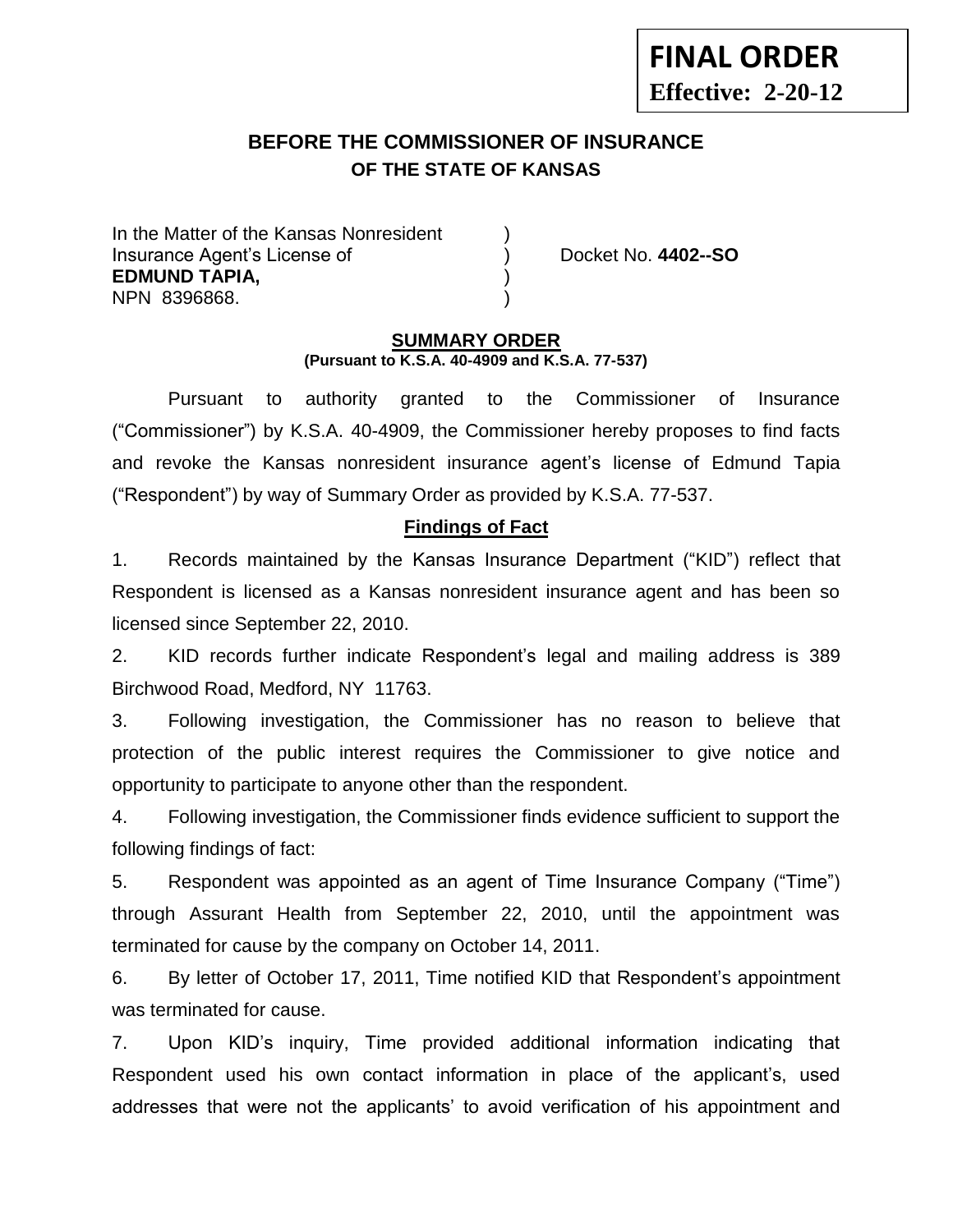# **Effective: 2-20-12**

**FINAL ORDER**

# **BEFORE THE COMMISSIONER OF INSURANCE OF THE STATE OF KANSAS --12**

In the Matter of the Kansas Nonresident Insurance Agent's License of ) Docket No. **4402--SO EDMUND TAPIA,** ) NPN 8396868. )

### **SUMMARY ORDER (Pursuant to K.S.A. 40-4909 and K.S.A. 77-537)**

Pursuant to authority granted to the Commissioner of Insurance ("Commissioner") by K.S.A. 40-4909, the Commissioner hereby proposes to find facts and revoke the Kansas nonresident insurance agent's license of Edmund Tapia ("Respondent") by way of Summary Order as provided by K.S.A. 77-537.

## **Findings of Fact**

1. Records maintained by the Kansas Insurance Department ("KID") reflect that Respondent is licensed as a Kansas nonresident insurance agent and has been so licensed since September 22, 2010.

2. KID records further indicate Respondent's legal and mailing address is 389 Birchwood Road, Medford, NY 11763.

3. Following investigation, the Commissioner has no reason to believe that protection of the public interest requires the Commissioner to give notice and opportunity to participate to anyone other than the respondent.

4. Following investigation, the Commissioner finds evidence sufficient to support the following findings of fact:

5. Respondent was appointed as an agent of Time Insurance Company ("Time") through Assurant Health from September 22, 2010, until the appointment was terminated for cause by the company on October 14, 2011.

6. By letter of October 17, 2011, Time notified KID that Respondent's appointment was terminated for cause.

7. Upon KID's inquiry, Time provided additional information indicating that Respondent used his own contact information in place of the applicant's, used addresses that were not the applicants' to avoid verification of his appointment and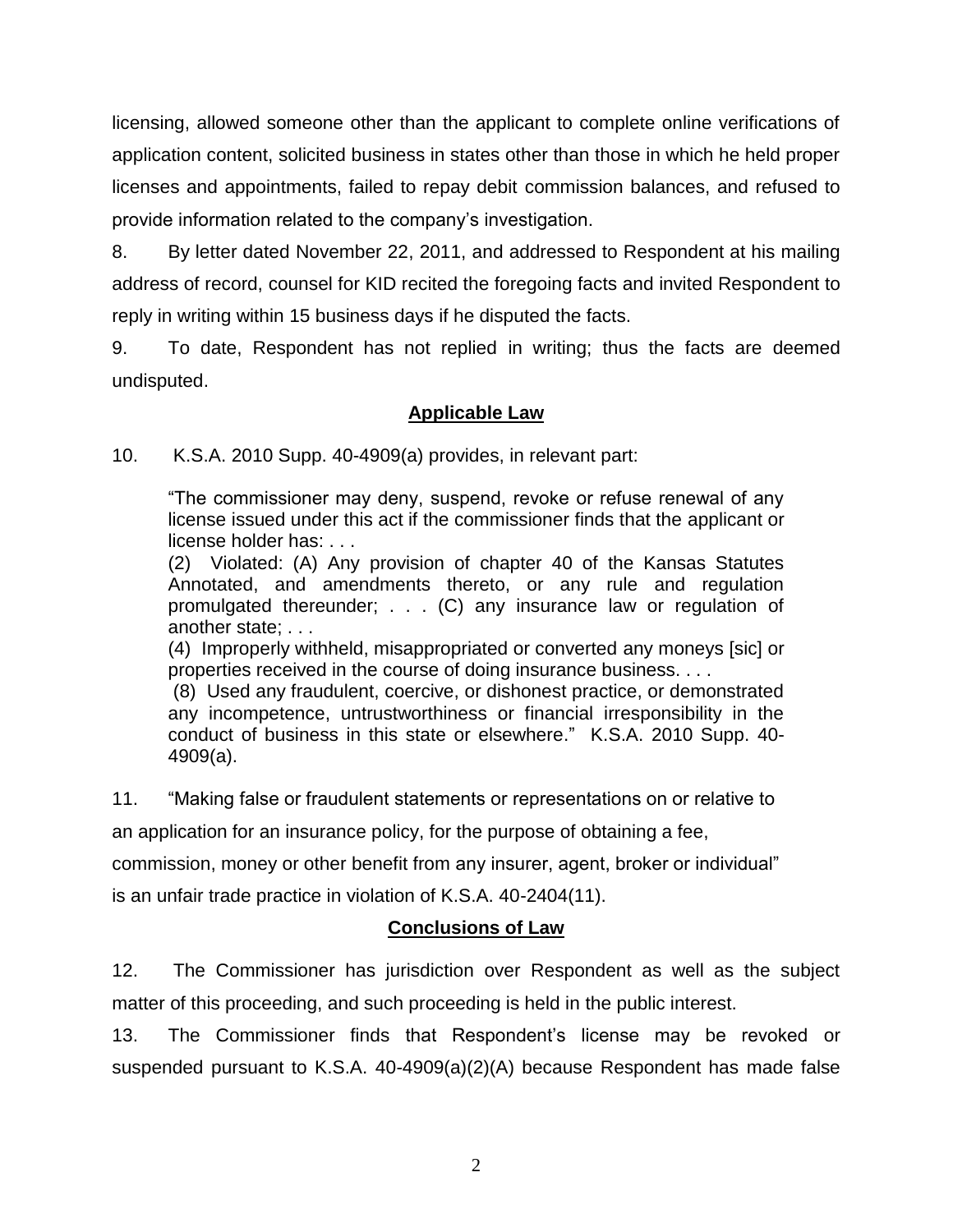licensing, allowed someone other than the applicant to complete online verifications of application content, solicited business in states other than those in which he held proper licenses and appointments, failed to repay debit commission balances, and refused to provide information related to the company's investigation.

8. By letter dated November 22, 2011, and addressed to Respondent at his mailing address of record, counsel for KID recited the foregoing facts and invited Respondent to reply in writing within 15 business days if he disputed the facts.

9. To date, Respondent has not replied in writing; thus the facts are deemed undisputed.

# **Applicable Law**

10. K.S.A. 2010 Supp. 40-4909(a) provides, in relevant part:

"The commissioner may deny, suspend, revoke or refuse renewal of any license issued under this act if the commissioner finds that the applicant or license holder has: . . .

(2) Violated: (A) Any provision of chapter 40 of the Kansas Statutes Annotated, and amendments thereto, or any rule and regulation promulgated thereunder; . . . (C) any insurance law or regulation of another state; . . .

(4) Improperly withheld, misappropriated or converted any moneys [sic] or properties received in the course of doing insurance business. . . .

(8) Used any fraudulent, coercive, or dishonest practice, or demonstrated any incompetence, untrustworthiness or financial irresponsibility in the conduct of business in this state or elsewhere." K.S.A. 2010 Supp. 40- 4909(a).

11. "Making false or fraudulent statements or representations on or relative to an application for an insurance policy, for the purpose of obtaining a fee,

commission, money or other benefit from any insurer, agent, broker or individual"

is an unfair trade practice in violation of K.S.A. 40-2404(11).

# **Conclusions of Law**

12. The Commissioner has jurisdiction over Respondent as well as the subject matter of this proceeding, and such proceeding is held in the public interest.

13. The Commissioner finds that Respondent's license may be revoked or suspended pursuant to K.S.A. 40-4909(a)(2)(A) because Respondent has made false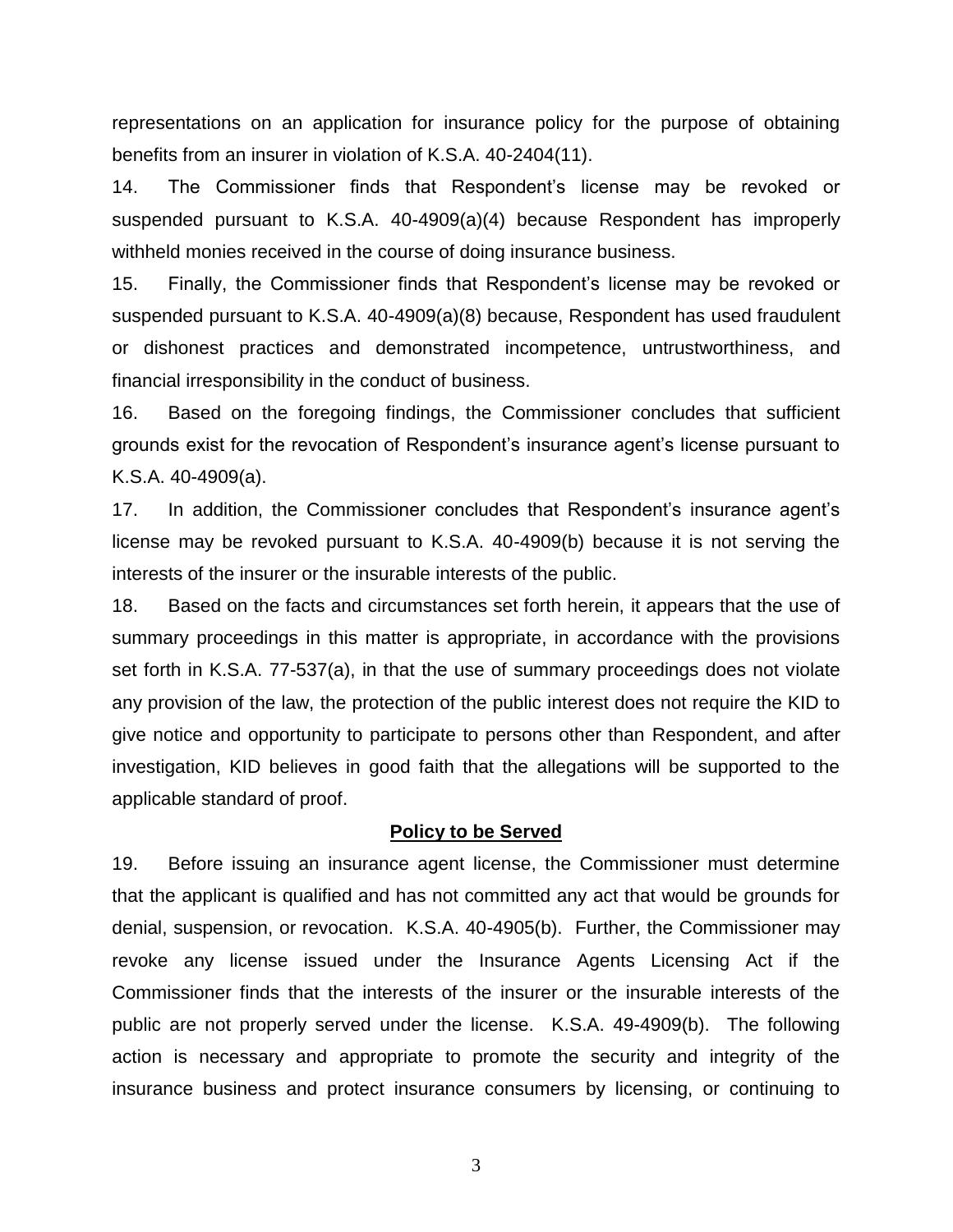representations on an application for insurance policy for the purpose of obtaining benefits from an insurer in violation of K.S.A. 40-2404(11).

14. The Commissioner finds that Respondent's license may be revoked or suspended pursuant to K.S.A. 40-4909(a)(4) because Respondent has improperly withheld monies received in the course of doing insurance business.

15. Finally, the Commissioner finds that Respondent's license may be revoked or suspended pursuant to K.S.A. 40-4909(a)(8) because, Respondent has used fraudulent or dishonest practices and demonstrated incompetence, untrustworthiness, and financial irresponsibility in the conduct of business.

16. Based on the foregoing findings, the Commissioner concludes that sufficient grounds exist for the revocation of Respondent's insurance agent's license pursuant to K.S.A. 40-4909(a).

17. In addition, the Commissioner concludes that Respondent's insurance agent's license may be revoked pursuant to K.S.A. 40-4909(b) because it is not serving the interests of the insurer or the insurable interests of the public.

18. Based on the facts and circumstances set forth herein, it appears that the use of summary proceedings in this matter is appropriate, in accordance with the provisions set forth in K.S.A. 77-537(a), in that the use of summary proceedings does not violate any provision of the law, the protection of the public interest does not require the KID to give notice and opportunity to participate to persons other than Respondent, and after investigation, KID believes in good faith that the allegations will be supported to the applicable standard of proof.

#### **Policy to be Served**

19. Before issuing an insurance agent license, the Commissioner must determine that the applicant is qualified and has not committed any act that would be grounds for denial, suspension, or revocation. K.S.A. 40-4905(b). Further, the Commissioner may revoke any license issued under the Insurance Agents Licensing Act if the Commissioner finds that the interests of the insurer or the insurable interests of the public are not properly served under the license. K.S.A. 49-4909(b). The following action is necessary and appropriate to promote the security and integrity of the insurance business and protect insurance consumers by licensing, or continuing to

3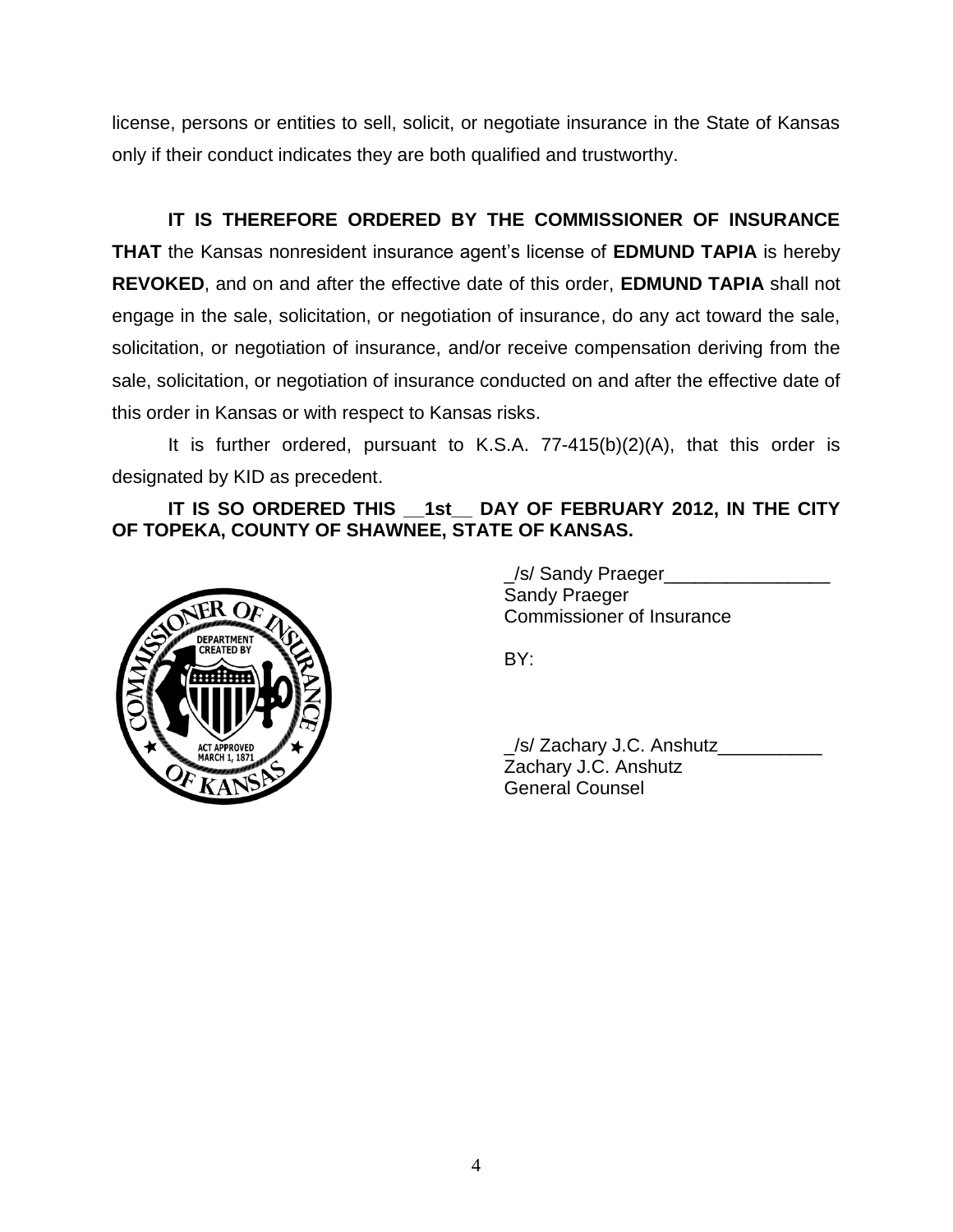license, persons or entities to sell, solicit, or negotiate insurance in the State of Kansas only if their conduct indicates they are both qualified and trustworthy.

**IT IS THEREFORE ORDERED BY THE COMMISSIONER OF INSURANCE THAT** the Kansas nonresident insurance agent's license of **EDMUND TAPIA** is hereby **REVOKED**, and on and after the effective date of this order, **EDMUND TAPIA** shall not engage in the sale, solicitation, or negotiation of insurance, do any act toward the sale, solicitation, or negotiation of insurance, and/or receive compensation deriving from the sale, solicitation, or negotiation of insurance conducted on and after the effective date of this order in Kansas or with respect to Kansas risks.

It is further ordered, pursuant to K.S.A. 77-415(b)(2)(A), that this order is designated by KID as precedent.

## **IT IS SO ORDERED THIS \_\_1st\_\_ DAY OF FEBRUARY 2012, IN THE CITY OF TOPEKA, COUNTY OF SHAWNEE, STATE OF KANSAS.**



/s/ Sandy Praeger Sandy Praeger Commissioner of Insurance

BY:

\_/s/ Zachary J.C. Anshutz\_\_\_\_\_\_\_\_\_\_ Zachary J.C. Anshutz General Counsel